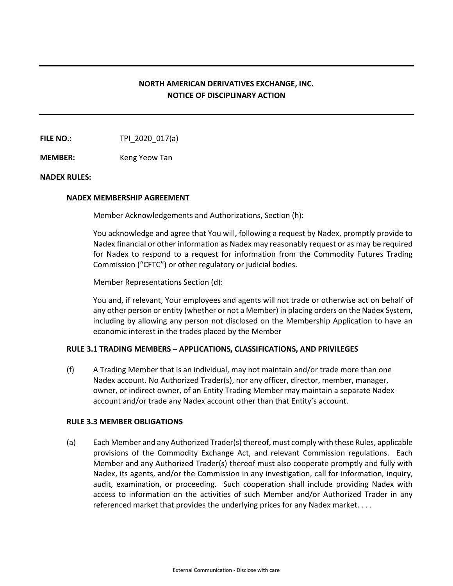## **NORTH AMERICAN DERIVATIVES EXCHANGE, INC. NOTICE OF DISCIPLINARY ACTION**

**FILE NO.:** TPI 2020 017(a)

**MEMBER:** Keng Yeow Tan

## **NADEX RULES:**

#### **NADEX MEMBERSHIP AGREEMENT**

Member Acknowledgements and Authorizations, Section (h):

You acknowledge and agree that You will, following a request by Nadex, promptly provide to Nadex financial or other information as Nadex may reasonably request or as may be required for Nadex to respond to a request for information from the Commodity Futures Trading Commission ("CFTC") or other regulatory or judicial bodies.

Member Representations Section (d):

You and, if relevant, Your employees and agents will not trade or otherwise act on behalf of any other person or entity (whether or not a Member) in placing orders on the Nadex System, including by allowing any person not disclosed on the Membership Application to have an economic interest in the trades placed by the Member

## **RULE 3.1 TRADING MEMBERS – APPLICATIONS, CLASSIFICATIONS, AND PRIVILEGES**

(f) A Trading Member that is an individual, may not maintain and/or trade more than one Nadex account. No Authorized Trader(s), nor any officer, director, member, manager, owner, or indirect owner, of an Entity Trading Member may maintain a separate Nadex account and/or trade any Nadex account other than that Entity's account.

## **RULE 3.3 MEMBER OBLIGATIONS**

(a) Each Member and any Authorized Trader(s) thereof, must comply with these Rules, applicable provisions of the Commodity Exchange Act, and relevant Commission regulations. Each Member and any Authorized Trader(s) thereof must also cooperate promptly and fully with Nadex, its agents, and/or the Commission in any investigation, call for information, inquiry, audit, examination, or proceeding. Such cooperation shall include providing Nadex with access to information on the activities of such Member and/or Authorized Trader in any referenced market that provides the underlying prices for any Nadex market. . . .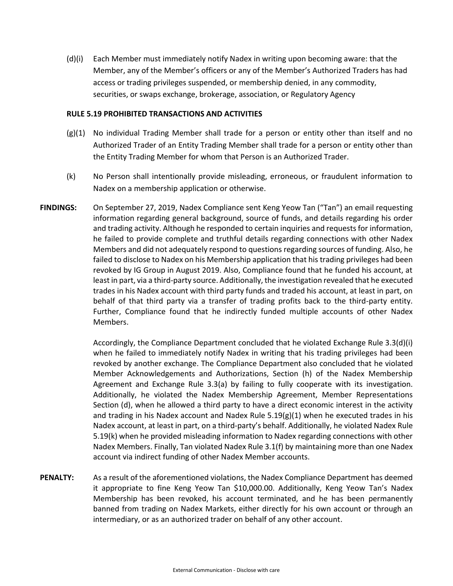(d)(i) Each Member must immediately notify Nadex in writing upon becoming aware: that the Member, any of the Member's officers or any of the Member's Authorized Traders has had access or trading privileges suspended, or membership denied, in any commodity, securities, or swaps exchange, brokerage, association, or Regulatory Agency

#### **RULE 5.19 PROHIBITED TRANSACTIONS AND ACTIVITIES**

- (g)(1) No individual Trading Member shall trade for a person or entity other than itself and no Authorized Trader of an Entity Trading Member shall trade for a person or entity other than the Entity Trading Member for whom that Person is an Authorized Trader.
- (k) No Person shall intentionally provide misleading, erroneous, or fraudulent information to Nadex on a membership application or otherwise.
- **FINDINGS:** On September 27, 2019, Nadex Compliance sent Keng Yeow Tan ("Tan") an email requesting information regarding general background, source of funds, and details regarding his order and trading activity. Although he responded to certain inquiries and requests for information, he failed to provide complete and truthful details regarding connections with other Nadex Members and did not adequately respond to questions regarding sources of funding. Also, he failed to disclose to Nadex on his Membership application that his trading privileges had been revoked by IG Group in August 2019. Also, Compliance found that he funded his account, at least in part, via a third-party source. Additionally, the investigation revealed that he executed trades in his Nadex account with third party funds and traded his account, at least in part, on behalf of that third party via a transfer of trading profits back to the third-party entity. Further, Compliance found that he indirectly funded multiple accounts of other Nadex Members.

Accordingly, the Compliance Department concluded that he violated Exchange Rule 3.3(d)(i) when he failed to immediately notify Nadex in writing that his trading privileges had been revoked by another exchange. The Compliance Department also concluded that he violated Member Acknowledgements and Authorizations, Section (h) of the Nadex Membership Agreement and Exchange Rule 3.3(a) by failing to fully cooperate with its investigation. Additionally, he violated the Nadex Membership Agreement, Member Representations Section (d), when he allowed a third party to have a direct economic interest in the activity and trading in his Nadex account and Nadex Rule  $5.19(g)(1)$  when he executed trades in his Nadex account, at least in part, on a third-party's behalf. Additionally, he violated Nadex Rule 5.19(k) when he provided misleading information to Nadex regarding connections with other Nadex Members. Finally, Tan violated Nadex Rule 3.1(f) by maintaining more than one Nadex account via indirect funding of other Nadex Member accounts.

**PENALTY:** As a result of the aforementioned violations, the Nadex Compliance Department has deemed it appropriate to fine Keng Yeow Tan \$10,000.00. Additionally, Keng Yeow Tan's Nadex Membership has been revoked, his account terminated, and he has been permanently banned from trading on Nadex Markets, either directly for his own account or through an intermediary, or as an authorized trader on behalf of any other account.